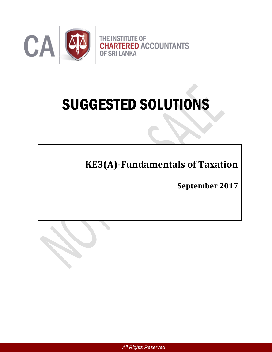

# SUGGESTED SOLUTIONS

**KE3(A)-Fundamentals of Taxation** 

**September 2017**

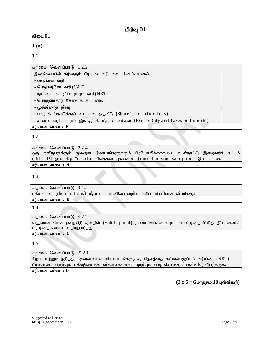# **விடை 01**

**1 (a)**

1.1

கற்கை வெளிப்பா $f<sub>B</sub>: 1.2.2$ 

இலங்கையில் கீழ்வரும் பிரதான வரிகளை இனங்காணல்.

- வருமான வரி
- பெறுமதிசேர் வரி (VAT)
- நாட்டை கட்டியெழுப்பும் வரி $(NBT)$
- பொருளாதார சேவைக் கட்டணம்
- முத்திரைத் தீா்வு
- பங்குக் கொடுக்கல் வாங்கல் அறவீடு (Share Transaction Levy)
- கலால் வரி மற்றும் இறக்குமதி மீதான வரிகள் (Excise Duty and Taxes on Imports)

சரியான விடை: **B** 

1.2

```
கற்கை வெளிப்பா\mathcal{F}_1: 2.2.4
ஒரு தனிநபருக்கும் மூலதன இலாபங்களுக்கும் பிரயோகிக்கக்கூடிய உள்நாட்டு இறைவரிச் சட்டம்
(பிரிவு 13) இன் கீழ் "பல்லின விலக்களிப்புக்களை" (miscellaneous exemptions) இனங்காண்க.
சரியான விடை : A
```
1.3

கற்கை வெளிப்பா $(f)$ :  $3.1.5$ பகிர்வுகள் (distributions) மீதான கம்பனியொன்றின் வரிப் பரிப்பினை விபரிக்குக. சரியான விடை : B

1.4

கற்கை வெளிப்பா $f<sub>B</sub>: 4.2.2$ வலுவான மேன்முறையீடு ஒன்றின் (valid appeal) குணாம்சங்களையும், மேன்முறையீட்டுத் தீர்ப்பனவின் படிமுறைகளையும் நிரற்படுத்துக.

# சரியான விடை : C

1.5

கற்கை வெளிப்பா $f$  : 5.2.1 சிறிய மற்றும் நடுத்தர அளவிலான வியாபாரங்களுக்கு தேசத்தை கட்டியெழுப்பும் வரியின் (NBT) பிரயோகம் பற்றியும் பதிவுசெய்தல் விலக்கெல்லை பற்றியும் (registration threshold) விபரிக்குக. சரியான விடை : D

 $(2 \times 5 =$  மொத்தம்  $10 \text{ } \mu$ ள்ளிகள்)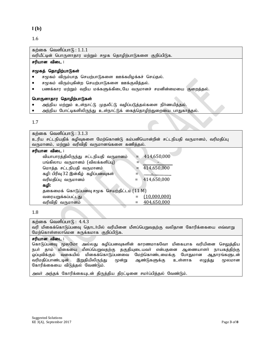**I (b)**

1.6

கற்கை வெளிப்பா $f_5$ : 1.1.1

வரியீட்டின் பொருளாதார மற்றும் சமூக தொழிற்பாடுகளை குறிப்பிடுக.

# சரியான விடை :

#### சமூகத் தொழிற்பாடுகள்

- சமூகம் விரும்பாத செயற்பாடுகளை ஊக்கமிழக்கச் செய்தல்.
- சமூகம் விரும்புகின்ற செயற்பாடுகளை ஊக்குவித்தல்.
- $\bullet$  பணக்கார மற்றும் வறிய மக்களுக்கிடையே வருமானச் சமனின்மையை குறைத்தல்.

#### பொருளாதார தொழிற்பாடுகள்

- அந்நிய மற்றும் உள்நாட்டு முதலீட்டு வழிப்படுத்தல்களை நிர்ணயித்தல்.
- $\bullet$  அந்நிய போட்டிகளிலிருந்து உள்நாட்டுக் கைத்தொழிற்துறையை பாதுகாத்தல்.

#### 1.7

| கற்கை வெளிப்பாடு : $3.1.3$                                                         |                    |  |
|------------------------------------------------------------------------------------|--------------------|--|
| உரிய சட்டநியதிக் கழிவுகளை மேற்கொண்டு கம்பனியொன்றின் சட்டநியதி வருமானம், வரிமதிப்பு |                    |  |
| வருமானம், மற்றும் வரிவிதி வருமானங்களை கணித்தல்.                                    |                    |  |
| சரியான விடை :                                                                      |                    |  |
| வியாபாரத்திலிருந்து சட்டநியதி வருமானம்                                             | 414,650,000        |  |
| பங்கிலாப வருமானம் (விலக்களிப்பு)                                                   |                    |  |
| மொத்த சட்டநியதி வருமானம்                                                           | 414,650,000<br>⋍   |  |
| கழி: பிரிவு 32 இன்கீழ் கழிப்பனவுகள்                                                |                    |  |
| வரிமதிப்பு வருமானம்                                                                | 414,650,000<br>$=$ |  |
| கழி:                                                                               |                    |  |
| தகைமைக் கொடுப்பனவு சமூக செயற்திட்டம் (11 M)                                        |                    |  |
| வரையறுக்கப்பட்டது                                                                  | (10,000,000)       |  |
| வரிவிதி வருமானம்                                                                   | 404,650,000        |  |

#### 1.8

#### கற்கை வெளிப்பா $f<sub>B</sub>$ : 4.4.3

வரி மிகைக்கொடுப்பனவு தொடா்பில் வரியினை மீளப்பெறுவதற்கு வலிதான கோரிக்கையை எவ்வாறு மேற்கொள்ளலாமென சுருக்கமாக குறிப்பிடுக.

#### சரியான விடை :

கொடுப்பனவு மூலமோ அல்லது கழிப்பனவுகளின் காரணமாகவோ மிகையாக வரியினை செலுத்திய நபா் தாம் மிகையை மீளப்பெறுவதற்கு தகுதியுடையவா் என்பதனை ஆணையாளா் நாயகத்திற்கு ஒப்புவிக்கும் வகையில் மிகைக்கொடுப்பனவை மேற்கொண்டமைக்கு போதுமான ஆதாரங்களுடன் வரிமதிப்பாண்டடின் இறுதியிலிருந்து மூன்று ஆண்டுகளுக்கு உள்ளாக எழுத்து மூலமான கோரிக்கையை விடுத்தல் வேண்டும்.<br>.

அவா் அந்தக் கோரிக்கையுடன் திருத்திய திரட்டினை சமா்ப்பித்தல் வேண்டும்.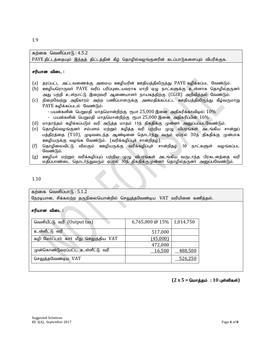1.9

# கற்கை வெளிப்பா $f<sub>B</sub>: 4.5.2$

PAYE திட்டத்தையும் இந்தத் திட்டத்தின் கீழ் தொழில்வழங்குனரின் கடப்பாடுகளையும் விபரிக்குக.

#### சரியான விடை :

- (a) தரப்பட்ட அட்டவணைக்கு அமைய ஊழியரின் ஊதியத்திலிருந்து PAYE கழிக்கப்பட வேண்டும்.
- (b) ஊழியரொருவா் PAYE வரிப் பரிப்புடையவராக மாறி ஏழு நாட்களுக்கு உள்ளாக தொழில்தருனா் அது பற்றி உள்நாட்டு இறைவரி ஆணையாளர் நாயகத்திற்கு (CGIR) அறிவித்தல் வேண்டும்.
- (c) நிறைவேற்று அதிகாரம் அற்ற பணிப்பாளருக்கு அனமதிக்கப்பட்ட ஊதியத்திலிருந்து கீழ்வருமாறு PAYE கழிக்கப்படல் வேண்டும்:
	- பயன்களின் பெறுமதி மாதமொன்றிற்கு ரூபா  $25,000$  இனை அதிகரிக்காவிடில்:  $10\%$ - பயன்களின் பெறுமதி மாதமொன்றிற்கு ரூபா $25,\!000$  இனை அதிகரிப்பின்:  $16\%$
- (d) மாதாந்தம் கழிக்கப்படும் வரி அடுத்த மாதம் 15ந் திகதிக்கு முன்னா் அனுப்பப்படவேண்டும்.
- (e) தொழில்வழங்குனா் சம்பளம் மற்றும் கழித்த வரி பற்றிய முழு விபரங்கள் அடங்கிய சான்றுப் பத்திரத்தை (T10), முடிவடைந்த ஆண்டினை தொடர்ந்து வரும் ஏப்ரல் 30ந் திகதிக்கு முன்பாக ஊழியருக்கு வழங்க வேண்டும். (வரிக்கழிப்புச் சான்றிதழ்).
- (f) தொழிலைவிட்டு விலகும் ஊழியருக்கு வரிக்கழிப்புச் சான்றிதழ் 30 நாட்களுள் வழங்கப்பட வேண்டும்.
- $\left( \text{g} \right)$  ஊழியா் மற்றும் வரிக்கழிப்புப் பற்றிய முழு விபரங்கள் அடங்கிய வருடாந்த பிரகடனத்தை வரி $\left|$ மதிப்பாண்டை தொடர்ந்துவரும் ஏப்ரல் 30ந் திகதிக்குமுன்னர் தொழில்தருனர் அனுப்பவேண்டும்.

1.10

கற்கை வெளிப்பா $f<sub>B</sub>$ : 5.1.2 நேரடியான, சிக்கலற்ற தருநிலையொன்றில் செலுத்தவேண்டிய VAT வரியினை கணித்தல்.

#### சரியான விடை :

| வெளியீட்டு வரி (Output tax)           | 6,765,000 @ $15\%$   1,014,750 |         |
|---------------------------------------|--------------------------------|---------|
| உள்ளீட்டு வரி                         | 517,000                        |         |
| கழி: மோட்டார் கார் மீது செலுத்திய VAT | (45,000)                       |         |
|                                       | 472,000                        |         |
| முன்கொண்டுவரப்பட்ட உள்ளீட்டு வரி      | 16,500                         | 488,500 |
| செலுத்தவேண்டிய VAT                    |                                | 526,250 |

 $(2 \times 5 =$  மொத்தம் : 10 புள்ளிகள்)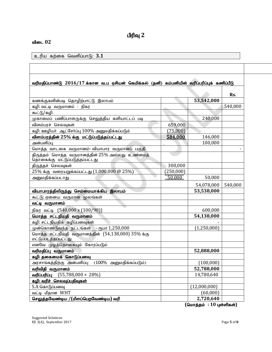# விடை 02

 $p$ ிய கற்கை வெளிப்பாடு:  $3.1$ 

|                                                                                   |           |              | Rs.     |
|-----------------------------------------------------------------------------------|-----------|--------------|---------|
| கணக்குகளின்படி தொழிற்பாட்டு இலாபம்                                                |           | 53,542,000   |         |
| கழி: வட்டி வருமானம் - நிகர                                                        |           |              | 540,000 |
| கூட்டு/கழி:                                                                       |           |              |         |
| முகாமைப் பணிப்பாளருக்கு செலுத்திய களியாட்டப் படி                                  |           | 240,000      |         |
| விளம்பரச் செலவுகள்                                                                | 659,000   |              |         |
| கழி: ஊழியா் ஆட்சோ்ப்பு 100% அனுமதிக்கப்படும்                                      | (75,000)  |              |         |
| விளம்பரத்தின் 25% க்கு மட்டுப்படுத்தப்பட்டது                                      | 584,000   | 146,000      |         |
| அன்பளிப்பு                                                                        |           | 100,000      |         |
| மொத்த வாடகை வருமானம்- வியாபார வருமானப் பகுதி                                      |           |              |         |
| திருத்தம் மொத்த வருமானத்தின் 25% அல்லது உண்மைத்<br>தொகைக்கு மட்டுப்படுத்தப்பட்டது |           |              |         |
| திருத்தச் செலவுகள்                                                                | 300,000   |              |         |
| $25\%$ க்கு வரையறுக்கப்பட்டது $(1,000,000\oslash25\%)$                            | (250,000) |              |         |
| அனுமதிக்கப்படாது                                                                  | 50,000    | 50,000       |         |
|                                                                                   |           | 54,078,000   | 540,000 |
| வியாபாரத்திலிருந்து செம்மையாக்கிய இலாபம்                                          |           | 53,538,000   |         |
| கூட்டு: ஏனைய வருமான மூலங்கள்                                                      |           |              |         |
| வட்டி வருமானம்                                                                    |           |              |         |
| நிகர வட்டி (540,000 x (100/90))                                                   |           | 600,000      |         |
| மொத்த சட்டநியதி வருமானம்                                                          |           | 54,138,000   |         |
| கழி: சட்டநியதிக் கழிப்பனவுகள்                                                     |           |              |         |
| முன்கொண்டுவந்த நட்டங்கள் - ரூபா 1,250,000                                         |           | (1,250,000)  |         |
| மொத்த சட்டநியதி வருமானத்தின் (54,138,000) 35% க்கு<br>மட்டுப்படத்தப்பட்டது        |           |              |         |
| எனவே முழத்தொகையும் கோரப்படும்                                                     |           |              |         |
| வரிமதிப்பு வருமானம்                                                               |           | 52,888,000   |         |
| கழி: தகைமைக் கொடுப்பனவு                                                           |           |              |         |
| அரசாங்கத்திற்கு அன்பளிப்பு (100% அனுமதிக்கப்படும்)                                |           | (100,000)    |         |
| வரிவிதி வருமானம்                                                                  |           | 52,788,000   |         |
| வரிப்பரிப்பு<br>$(55,788,000 \times 28\%)$                                        |           | 14,780,640   |         |
| கழி: வரிச் செலவுப்பதிவுகள்                                                        |           |              |         |
| S.A கொடுப்பனவு                                                                    |           | (12,000,000) |         |
| வட்டி மீதான WHT                                                                   |           | (60,000)     |         |
| செலுத்தவேண்டிய /(மீளப்பெறவேண்டிய) வரி                                             |           | 2,720,640    |         |

 **(**nkhj;jk; **: 10** Gs;spfs;**)**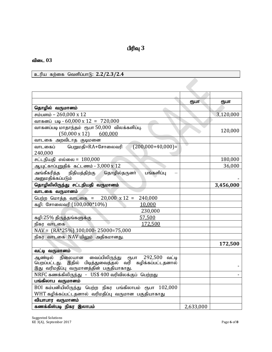# விடை 03

உரிய கற்கை வெளிப்பாடு: 2.2/2.3/2.4

| $z$ yii aliyoo workiin ah $\alpha$ . $z$ . $z$                |           |           |
|---------------------------------------------------------------|-----------|-----------|
|                                                               |           |           |
|                                                               |           |           |
|                                                               | ரூபா      | ரூபா      |
| தொழில் வருமானம்                                               |           |           |
| சம்பளம் – 260,000 x 12                                        |           | 3,120,000 |
| வாகனப் படி - 60,000 x 12 = 720,000                            |           |           |
| வாகனப்படி மாதாந்தம் ரூபா 50,000 விலக்களிப்பு.                 |           | 120,000   |
| $(50,000 \times 12)$ 600,000                                  |           |           |
| வாடகை அறவிடாத குடிமனை                                         |           |           |
| $(200,000+40,000)=$<br>பெறுமதி=RA+சோலைவரி<br>வாடகைப்          |           |           |
| 240,000                                                       |           |           |
| சட்டநியதி எல்லை = $180,000$                                   |           | 180,000   |
| ஆயுட்காப்புறுதிக் கட்டணம் - 3,000 x 12                        |           | 36,000    |
| அங்கீகரித்த நிதியத்திற்கு<br>தொழில்தருனர்<br>பங்களிப்பு       |           |           |
| அனுமதிக்கப்படும்                                              |           |           |
| தொழிலிலிருந்து சட்டநியதி வருமானம்                             |           | 3,456,000 |
| வாடகை வருமானம்                                                |           |           |
| பெற்ற மொத்த வாடகை = $20,000 \times 12 =$<br>240,000           |           |           |
| கழி: சோலைவரி (100,000*10%)<br>10,000                          |           |           |
| 230,000                                                       |           |           |
| கழி:25% திருத்தங்களுக்கு<br>57,500                            |           |           |
| 172,500<br>நிகர வாடகை                                         |           |           |
| $\text{NAV} = (\text{RA*25\%}) 100,000 - 25000 = 75,000$      |           |           |
| நிகர வாடகை NAV யிலும் அதிகமானது.                              |           |           |
|                                                               |           | 172,500   |
| வட்டி வருமானம்                                                |           |           |
| வைப்பிலிருந்து<br>292,500 வட்டி<br>ஆண்டில்<br>நிலையான<br>ரூபா |           |           |
| பெறப்பட்டது. இதில் பிடித்துவைத்தல் வரி கழிக்கப்பட்டதனால்      |           |           |
| இது வரிமதிப்பு வருமானத்தின் பகுதியாகாது.                      |           |           |
| NRFC கணக்கிலிருந்து   -   US\$ 400 வரிவிலக்குப்  பெற்றது      |           |           |
| பங்கிலாப வருமானம்                                             |           |           |
| BOI கம்பனியிலிருந்து பெற்ற நிகர பங்கிலாபம் ரூபா $102,000$     |           |           |
| WHT கழிக்கப்பட்டதனால் வரிமதிப்பு வருமான பகுதியாகாது           |           |           |
| வியாபார வருமானம்                                              |           |           |
| கணக்கிள்படி நிகர இலாபம்                                       | 2,633,000 |           |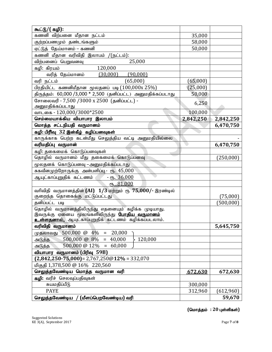| கூட்டு/( கழி):                                                    |                    |            |
|-------------------------------------------------------------------|--------------------|------------|
| கணனி விற்பனை மீதான நட்டம்                                         | 35,000             |            |
| குற்றப்பணமும் தண்டங்களும்                                         | 58,000             |            |
| ஏட்டுத் தேய்மானம் – கணனி                                          | 50,000             |            |
| கணனி மீதான வரிவிதி இலாபம் /(நட்டம்):                              |                    |            |
| 25,000<br>விற்பனைப் பெறுவனவு                                      |                    |            |
| 120,000<br>கழி: கிரயம்                                            |                    |            |
| வரித் தேய்மானம்<br>(30,000)<br>(90,000)                           |                    |            |
| வரி நட்டம்<br>(65,000)                                            | (65,000)           |            |
| பிரதியிட்ட கணனிமீதான மூலதனப் படி $(100,000x\,25\%)$               | (25,000)           |            |
| திருத்தம்: 60,000 /3,000 * 2,500 (தனிப்பட்ட) அனுமதிக்கப்படாது     | 50,000             |            |
| சோலைவரி - 7,500 /3000 x 2500 (தனிப்பட்ட) -<br>அனுமதிக்கப்படாது    | 6,250              |            |
| வாடகை - 120,000/3000*2500                                         | 100,000            |            |
| செம்மையாக்கிய வியாபார இலாபம்                                      | 2,842,250          | 2,842,250  |
| மொத்த சட்டநியதி வருமானம்                                          |                    | 6,470,750  |
| கழி: பிரிவு 32 இன்கீழ் கழிப்பனவுகள்                               |                    |            |
| காருக்காக பெற்ற கடன்மீது செலுத்திய வட்டி அனுமதியில்லை             |                    |            |
| வரிமதிப்பு வருமான்                                                |                    | 6,470,750  |
| கழி: தகைமைக் கொடுப்பனவுகள்                                        |                    |            |
| தொழில் வருமானம் மீது தகைமைக் கொடுப்பனவு                           |                    | (250,000)  |
| மூலதனக்  கொடுப்பனவு –அனுமதிக்கப்படாது                             |                    |            |
| சுகவீனமுற்றோருக்கு அன்பளிப்பு - ரூ. 45,000                        |                    |            |
| ஆயுட்காப்புறுதிக் கட்டணம்<br>$-$ сп <sub>р</sub> . 36,000         |                    |            |
| $(T_5 - 81,000)$                                                  |                    |            |
| வரிவிதி வருமானத்தின் (AI) 1/3 மற்றும் ரூ 75,000/- இரண்டில்        |                    |            |
| குறைந்த தொகைக்கு மட்டுப்பட்டது                                    |                    | (75,000)   |
| தனிப்பட்ட படி                                                     |                    | (500, 000) |
| தொழில் வருமானத்திலிருந்து எதனையும் கழிக்க முடியாது.               |                    |            |
| இவருக்கு ஏனைய மூலங்களிலிருந்து <mark>போதிய வருமானம்</mark>        |                    |            |
| <mark>உள்ளதனால்,</mark> ஆயுட்காப்புறுதிக் கட்டணம் கழிக்கப்படலாம். |                    |            |
| வரிவிதி வருமானம்                                                  |                    | 5,645,750  |
| 500,000 @ 4%<br>$= 20,000$<br>(முதலாவது                           |                    |            |
| 500,000 @ 8%<br>$= 40,000$<br>120,000<br>அடுத்த                   |                    |            |
| 500,000 @ 12%<br>$= 60,000$<br>அடுத்த                             |                    |            |
| வியாபார வருமானம் (பிரிவு 59B)                                     |                    |            |
| $(2,842,250 - 75,000) = 2,767,250@12% = 332,070$                  |                    |            |
| மிகுதி 1,378,500 @ 16% 220,560                                    |                    |            |
| செலுத்தவேண்டிய மொத்த வருமான வரி                                   | 672,630            | 672,630    |
| கழி: வரிச் செலவுப்பதிவுகள்                                        |                    |            |
| சுயமதிப்பீடு<br><b>PAYE</b>                                       | 300,000<br>312,960 |            |
|                                                                   |                    | (612,960)  |
| செலுத்தவேண்டிய<br>(மீளப்பெறவேண்டிய) வரி                           |                    | 59,670     |

 $($ மொத்தம் : 20 புள்ளிகள்)